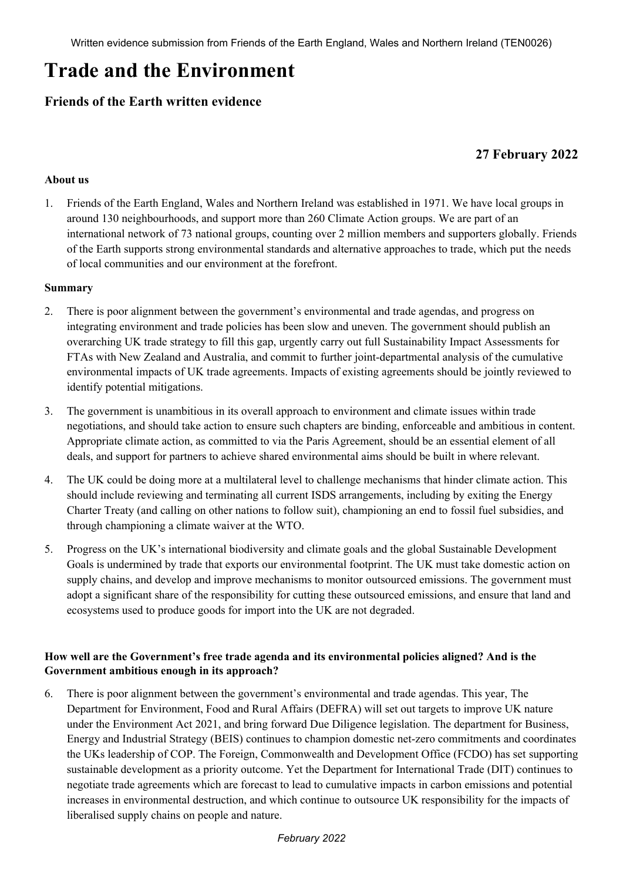# **Trade and the Environment**

# **Friends of the Earth written evidence**

# **27 February 2022**

#### **About us**

1. Friends of the Earth England, Wales and Northern Ireland was established in 1971. We have local groups in around 130 neighbourhoods, and support more than 260 Climate Action groups. We are part of an international network of 73 national groups, counting over 2 million members and supporters globally. Friends of the Earth supports strong environmental standards and alternative approaches to trade, which put the needs of local communities and our environment at the forefront.

#### **Summary**

- 2. There is poor alignment between the government's environmental and trade agendas, and progress on integrating environment and trade policies has been slow and uneven. The government should publish an overarching UK trade strategy to fill this gap, urgently carry out full Sustainability Impact Assessments for FTAs with New Zealand and Australia, and commit to further joint-departmental analysis of the cumulative environmental impacts of UK trade agreements. Impacts of existing agreements should be jointly reviewed to identify potential mitigations.
- 3. The government is unambitious in its overall approach to environment and climate issues within trade negotiations, and should take action to ensure such chapters are binding, enforceable and ambitious in content. Appropriate climate action, as committed to via the Paris Agreement, should be an essential element of all deals, and support for partners to achieve shared environmental aims should be built in where relevant.
- 4. The UK could be doing more at a multilateral level to challenge mechanisms that hinder climate action. This should include reviewing and terminating all current ISDS arrangements, including by exiting the Energy Charter Treaty (and calling on other nations to follow suit), championing an end to fossil fuel subsidies, and through championing a climate waiver at the WTO.
- 5. Progress on the UK's international biodiversity and climate goals and the global Sustainable Development Goals is undermined by trade that exports our environmental footprint. The UK must take domestic action on supply chains, and develop and improve mechanisms to monitor outsourced emissions. The government must adopt a significant share of the responsibility for cutting these outsourced emissions, and ensure that land and ecosystems used to produce goods for import into the UK are not degraded.

#### **How well are the Government's free trade agenda and its environmental policies aligned? And is the Government ambitious enough in its approach?**

6. There is poor alignment between the government's environmental and trade agendas. This year, The Department for Environment, Food and Rural Affairs (DEFRA) will set out targets to improve UK nature under the Environment Act 2021, and bring forward Due Diligence legislation. The department for Business, Energy and Industrial Strategy (BEIS) continues to champion domestic net-zero commitments and coordinates the UKs leadership of COP. The Foreign, Commonwealth and Development Office (FCDO) has set supporting sustainable development as a priority outcome. Yet the Department for International Trade (DIT) continues to negotiate trade agreements which are forecast to lead to cumulative impacts in carbon emissions and potential increases in environmental destruction, and which continue to outsource UK responsibility for the impacts of liberalised supply chains on people and nature.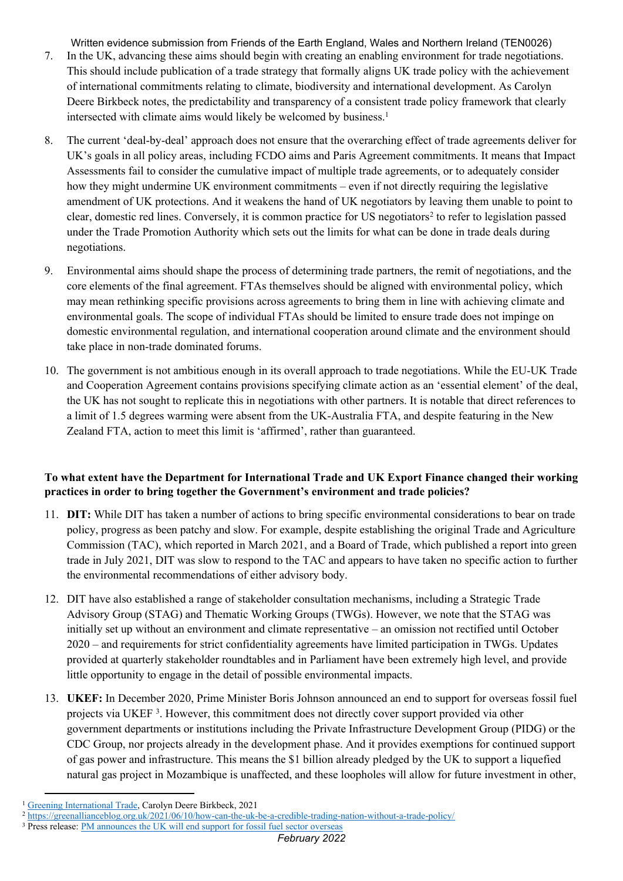Written evidence submission from Friends of the Earth England, Wales and Northern Ireland (TEN0026)

- 7. In the UK, advancing these aims should begin with creating an enabling environment for trade negotiations. This should include publication of a trade strategy that formally aligns UK trade policy with the achievement of international commitments relating to climate, biodiversity and international development. As Carolyn Deere Birkbeck notes, the predictability and transparency of a consistent trade policy framework that clearly intersected with climate aims would likely be welcomed by business.<sup>1</sup>
- 8. The current 'deal-by-deal' approach does not ensure that the overarching effect of trade agreements deliver for UK's goals in all policy areas, including FCDO aims and Paris Agreement commitments. It means that Impact Assessments fail to consider the cumulative impact of multiple trade agreements, or to adequately consider how they might undermine UK environment commitments – even if not directly requiring the legislative amendment of UK protections. And it weakens the hand of UK negotiators by leaving them unable to point to clear, domestic red lines. Conversely, it is common practice for US negotiators<sup>2</sup> to refer to legislation passed under the Trade Promotion Authority which sets out the limits for what can be done in trade deals during negotiations.
- 9. Environmental aims should shape the process of determining trade partners, the remit of negotiations, and the core elements of the final agreement. FTAs themselves should be aligned with environmental policy, which may mean rethinking specific provisions across agreements to bring them in line with achieving climate and environmental goals. The scope of individual FTAs should be limited to ensure trade does not impinge on domestic environmental regulation, and international cooperation around climate and the environment should take place in non-trade dominated forums.
- 10. The government is not ambitious enough in its overall approach to trade negotiations. While the EU-UK Trade and Cooperation Agreement contains provisions specifying climate action as an 'essential element' of the deal, the UK has not sought to replicate this in negotiations with other partners. It is notable that direct references to a limit of 1.5 degrees warming were absent from the UK-Australia FTA, and despite featuring in the New Zealand FTA, action to meet this limit is 'affirmed', rather than guaranteed.

## **To what extent have the Department for International Trade and UK Export Finance changed their working practices in order to bring together the Government's environment and trade policies?**

- 11. **DIT:** While DIT has taken a number of actions to bring specific environmental considerations to bear on trade policy, progress as been patchy and slow. For example, despite establishing the original Trade and Agriculture Commission (TAC), which reported in March 2021, and a Board of Trade, which published a report into green trade in July 2021, DIT was slow to respond to the TAC and appears to have taken no specific action to further the environmental recommendations of either advisory body.
- 12. DIT have also established a range of stakeholder consultation mechanisms, including a Strategic Trade Advisory Group (STAG) and Thematic Working Groups (TWGs). However, we note that the STAG was initially set up without an environment and climate representative – an omission not rectified until October 2020 – and requirements for strict confidentiality agreements have limited participation in TWGs. Updates provided at quarterly stakeholder roundtables and in Parliament have been extremely high level, and provide little opportunity to engage in the detail of possible environmental impacts.
- 13. **UKEF:** In December 2020, Prime Minister Boris Johnson announced an end to support for overseas fossil fuel projects via UKEF<sup>3</sup>. However, this commitment does not directly cover support provided via other government departments or institutions including the Private Infrastructure Development Group (PIDG) or the CDC Group, nor projects already in the development phase. And it provides exemptions for continued support of gas power and infrastructure. This means the \$1 billion already pledged by the UK to support a liquefied natural gas project in Mozambique is unaffected, and these loopholes will allow for future investment in other,

<sup>1</sup> [Greening](https://wedocs.unep.org/bitstream/handle/20.500.11822/36281/GITPF.pdf) [International](https://wedocs.unep.org/bitstream/handle/20.500.11822/36281/GITPF.pdf) [Trade](https://wedocs.unep.org/bitstream/handle/20.500.11822/36281/GITPF.pdf), Carolyn Deere Birkbeck, 2021

<sup>&</sup>lt;sup>2</sup> <https://greenallianceblog.org.uk/2021/06/10/how-can-the-uk-be-a-credible-trading-nation-without-a-trade-policy/>

<sup>&</sup>lt;sup>3</sup> Press release: [PM](https://www.gov.uk/government/news/pm-announces-the-uk-will-end-support-for-fossil-fuel-sector-overseas) [announces](https://www.gov.uk/government/news/pm-announces-the-uk-will-end-support-for-fossil-fuel-sector-overseas) [the](https://www.gov.uk/government/news/pm-announces-the-uk-will-end-support-for-fossil-fuel-sector-overseas) [UK](https://www.gov.uk/government/news/pm-announces-the-uk-will-end-support-for-fossil-fuel-sector-overseas) [will](https://www.gov.uk/government/news/pm-announces-the-uk-will-end-support-for-fossil-fuel-sector-overseas) [end](https://www.gov.uk/government/news/pm-announces-the-uk-will-end-support-for-fossil-fuel-sector-overseas) [support](https://www.gov.uk/government/news/pm-announces-the-uk-will-end-support-for-fossil-fuel-sector-overseas) [for](https://www.gov.uk/government/news/pm-announces-the-uk-will-end-support-for-fossil-fuel-sector-overseas) [fossil](https://www.gov.uk/government/news/pm-announces-the-uk-will-end-support-for-fossil-fuel-sector-overseas) [fuel](https://www.gov.uk/government/news/pm-announces-the-uk-will-end-support-for-fossil-fuel-sector-overseas) [sector](https://www.gov.uk/government/news/pm-announces-the-uk-will-end-support-for-fossil-fuel-sector-overseas) [overseas](https://www.gov.uk/government/news/pm-announces-the-uk-will-end-support-for-fossil-fuel-sector-overseas)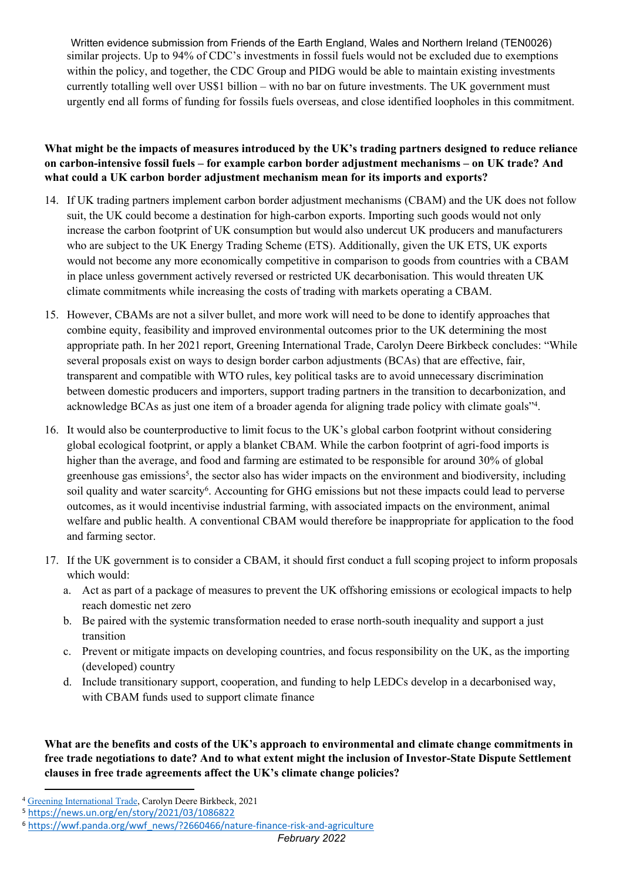Written evidence submission from Friends of the Earth England, Wales and Northern Ireland (TEN0026) similar projects. Up to 94% of CDC's investments in fossil fuels would not be excluded due to exemptions within the policy, and together, the CDC Group and PIDG would be able to maintain existing investments currently totalling well over US\$1 billion – with no bar on future investments. The UK government must urgently end all forms of funding for fossils fuels overseas, and close identified loopholes in this commitment.

## **What might be the impacts of measures introduced by the UK's trading partners designed to reduce reliance on carbon-intensive fossil fuels – for example carbon border adjustment mechanisms – on UK trade? And what could a UK carbon border adjustment mechanism mean for its imports and exports?**

- 14. If UK trading partners implement carbon border adjustment mechanisms (CBAM) and the UK does not follow suit, the UK could become a destination for high-carbon exports. Importing such goods would not only increase the carbon footprint of UK consumption but would also undercut UK producers and manufacturers who are subject to the UK Energy Trading Scheme (ETS). Additionally, given the UK ETS, UK exports would not become any more economically competitive in comparison to goods from countries with a CBAM in place unless government actively reversed or restricted UK decarbonisation. This would threaten UK climate commitments while increasing the costs of trading with markets operating a CBAM.
- 15. However, CBAMs are not a silver bullet, and more work will need to be done to identify approaches that combine equity, feasibility and improved environmental outcomes prior to the UK determining the most appropriate path. In her 2021 report, Greening International Trade, Carolyn Deere Birkbeck concludes: "While several proposals exist on ways to design border carbon adjustments (BCAs) that are effective, fair, transparent and compatible with WTO rules, key political tasks are to avoid unnecessary discrimination between domestic producers and importers, support trading partners in the transition to decarbonization, and acknowledge BCAs as just one item of a broader agenda for aligning trade policy with climate goals"<sup>4</sup> .
- 16. It would also be counterproductive to limit focus to the UK's global carbon footprint without considering global ecological footprint, or apply a blanket CBAM. While the carbon footprint of agri-food imports is higher than the average, and food and farming are estimated to be responsible for around 30% of global greenhouse gas emissions<sup>5</sup>, the sector also has wider impacts on the environment and biodiversity, including soil quality and water scarcity<sup>6</sup>. Accounting for GHG emissions but not these impacts could lead to perverse outcomes, as it would incentivise industrial farming, with associated impacts on the environment, animal welfare and public health. A conventional CBAM would therefore be inappropriate for application to the food and farming sector.
- 17. If the UK government is to consider a CBAM, it should first conduct a full scoping project to inform proposals which would:
	- a. Act as part of a package of measures to prevent the UK offshoring emissions or ecological impacts to help reach domestic net zero
	- b. Be paired with the systemic transformation needed to erase north-south inequality and support a just transition
	- c. Prevent or mitigate impacts on developing countries, and focus responsibility on the UK, as the importing (developed) country
	- d. Include transitionary support, cooperation, and funding to help LEDCs develop in a decarbonised way, with CBAM funds used to support climate finance

**What are the benefits and costs of the UK's approach to environmental and climate change commitments in free trade negotiations to date? And to what extent might the inclusion of Investor-State Dispute Settlement clauses in free trade agreements affect the UK's climate change policies?** 

<sup>4</sup> [Greening](https://wedocs.unep.org/bitstream/handle/20.500.11822/36281/GITPF.pdf) [International](https://wedocs.unep.org/bitstream/handle/20.500.11822/36281/GITPF.pdf) [Trade](https://wedocs.unep.org/bitstream/handle/20.500.11822/36281/GITPF.pdf), Carolyn Deere Birkbeck, 2021

<sup>5</sup> <https://news.un.org/en/story/2021/03/1086822>

<sup>6</sup> [https://wwf.panda.org/wwf\\_news/?2660466/nature-finance-risk-and-agriculture](https://wwf.panda.org/wwf_news/?2660466/nature-finance-risk-and-agriculture)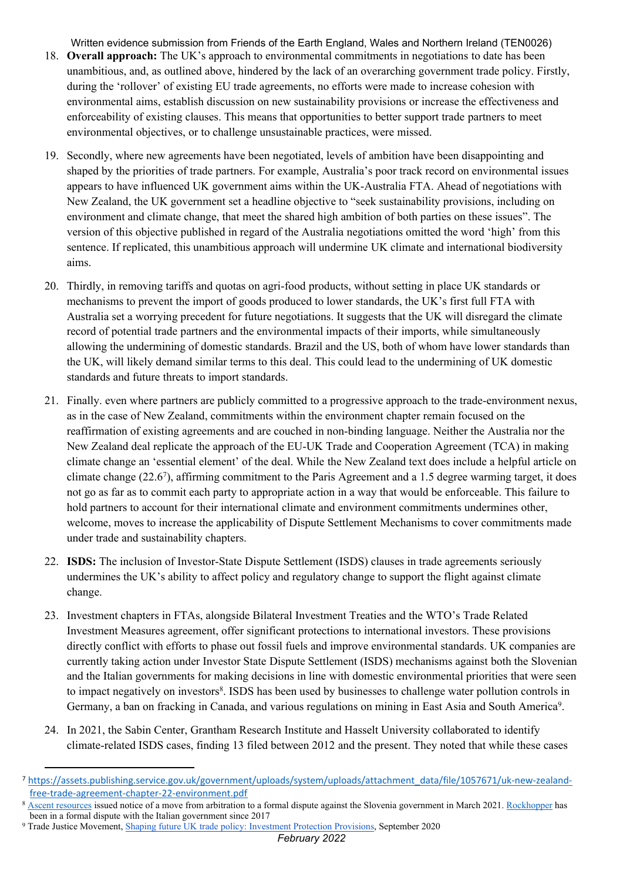Written evidence submission from Friends of the Earth England, Wales and Northern Ireland (TEN0026)

- 18. **Overall approach:** The UK's approach to environmental commitments in negotiations to date has been unambitious, and, as outlined above, hindered by the lack of an overarching government trade policy. Firstly, during the 'rollover' of existing EU trade agreements, no efforts were made to increase cohesion with environmental aims, establish discussion on new sustainability provisions or increase the effectiveness and enforceability of existing clauses. This means that opportunities to better support trade partners to meet environmental objectives, or to challenge unsustainable practices, were missed.
- 19. Secondly, where new agreements have been negotiated, levels of ambition have been disappointing and shaped by the priorities of trade partners. For example, Australia's poor track record on environmental issues appears to have influenced UK government aims within the UK-Australia FTA. Ahead of negotiations with New Zealand, the UK government set a headline objective to "seek sustainability provisions, including on environment and climate change, that meet the shared high ambition of both parties on these issues". The version of this objective published in regard of the Australia negotiations omitted the word 'high' from this sentence. If replicated, this unambitious approach will undermine UK climate and international biodiversity aims.
- 20. Thirdly, in removing tariffs and quotas on agri-food products, without setting in place UK standards or mechanisms to prevent the import of goods produced to lower standards, the UK's first full FTA with Australia set a worrying precedent for future negotiations. It suggests that the UK will disregard the climate record of potential trade partners and the environmental impacts of their imports, while simultaneously allowing the undermining of domestic standards. Brazil and the US, both of whom have lower standards than the UK, will likely demand similar terms to this deal. This could lead to the undermining of UK domestic standards and future threats to import standards.
- 21. Finally. even where partners are publicly committed to a progressive approach to the trade-environment nexus, as in the case of New Zealand, commitments within the environment chapter remain focused on the reaffirmation of existing agreements and are couched in non-binding language. Neither the Australia nor the New Zealand deal replicate the approach of the EU-UK Trade and Cooperation Agreement (TCA) in making climate change an 'essential element' of the deal. While the New Zealand text does include a helpful article on climate change (22.6<sup>7</sup> ), affirming commitment to the Paris Agreement and a 1.5 degree warming target, it does not go as far as to commit each party to appropriate action in a way that would be enforceable. This failure to hold partners to account for their international climate and environment commitments undermines other, welcome, moves to increase the applicability of Dispute Settlement Mechanisms to cover commitments made under trade and sustainability chapters.
- 22. **ISDS:** The inclusion of Investor-State Dispute Settlement (ISDS) clauses in trade agreements seriously undermines the UK's ability to affect policy and regulatory change to support the flight against climate change.
- 23. Investment chapters in FTAs, alongside Bilateral Investment Treaties and the WTO's Trade Related Investment Measures agreement, offer significant protections to international investors. These provisions directly conflict with efforts to phase out fossil fuels and improve environmental standards. UK companies are currently taking action under Investor State Dispute Settlement (ISDS) mechanisms against both the Slovenian and the Italian governments for making decisions in line with domestic environmental priorities that were seen to impact negatively on investors<sup>8</sup>. ISDS has been used by businesses to challenge water pollution controls in Germany, a ban on fracking in Canada, and various regulations on mining in East Asia and South America<sup>9</sup>.
- 24. In 2021, the Sabin Center, Grantham Research Institute and Hasselt University collaborated to identify climate-related ISDS cases, finding 13 filed between 2012 and the present. They noted that while these cases

<sup>7</sup> [https://assets.publishing.service.gov.uk/government/uploads/system/uploads/attachment\\_data/file/1057671/uk-new-zealand](https://assets.publishing.service.gov.uk/government/uploads/system/uploads/attachment_data/file/1057671/uk-new-zealand-free-trade-agreement-chapter-22-environment.pdf)[free-trade-agreement-chapter-22-environment.pdf](https://assets.publishing.service.gov.uk/government/uploads/system/uploads/attachment_data/file/1057671/uk-new-zealand-free-trade-agreement-chapter-22-environment.pdf)

<sup>8</sup> [Ascent](https://www.investegate.co.uk/article.aspx?id=202103191656549281S) [resources](https://www.investegate.co.uk/article.aspx?id=202103191656549281S) issued notice of a move from arbitration to a formal dispute against the Slovenia government in March 2021. [Rockhopper](https://investmentpolicy.unctad.org/investment-dispute-settlement/cases/800/rockhopper-v-italy) has been in a formal dispute with the Italian government since 2017

<sup>&</sup>lt;sup>9</sup> Trade Justice Movement, [Shaping](https://www.tjm.org.uk/resources/briefings/shaping-future-uk-trade-policy-investment-protection-provisions) [future](https://www.tjm.org.uk/resources/briefings/shaping-future-uk-trade-policy-investment-protection-provisions) [UK](https://www.tjm.org.uk/resources/briefings/shaping-future-uk-trade-policy-investment-protection-provisions) [trade](https://www.tjm.org.uk/resources/briefings/shaping-future-uk-trade-policy-investment-protection-provisions) [policy:](https://www.tjm.org.uk/resources/briefings/shaping-future-uk-trade-policy-investment-protection-provisions) [Investment](https://www.tjm.org.uk/resources/briefings/shaping-future-uk-trade-policy-investment-protection-provisions) [Protection](https://www.tjm.org.uk/resources/briefings/shaping-future-uk-trade-policy-investment-protection-provisions) [Provisions,](https://www.tjm.org.uk/resources/briefings/shaping-future-uk-trade-policy-investment-protection-provisions) September 2020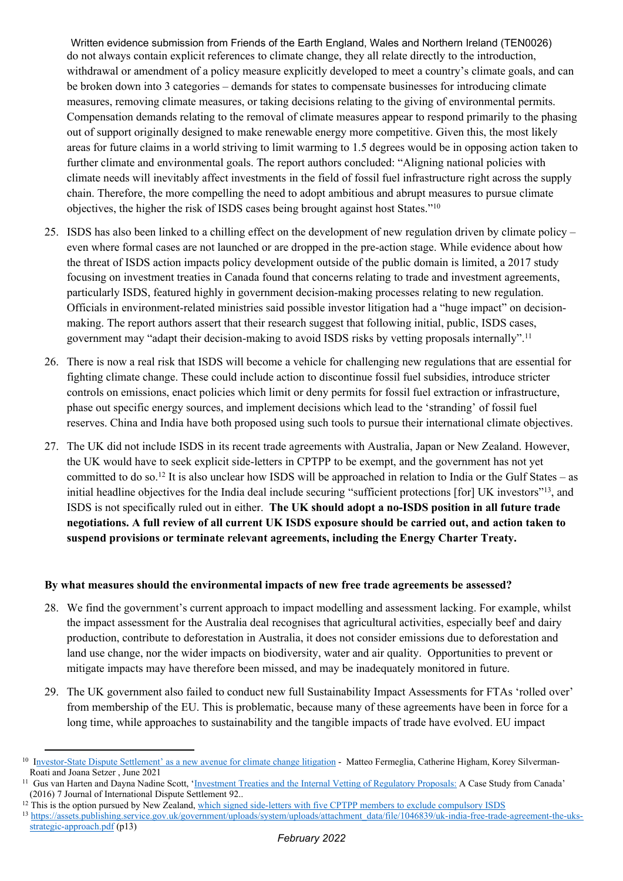Written evidence submission from Friends of the Earth England, Wales and Northern Ireland (TEN0026) do not always contain explicit references to climate change, they all relate directly to the introduction, withdrawal or amendment of a policy measure explicitly developed to meet a country's climate goals, and can be broken down into 3 categories – demands for states to compensate businesses for introducing climate measures, removing climate measures, or taking decisions relating to the giving of environmental permits. Compensation demands relating to the removal of climate measures appear to respond primarily to the phasing out of support originally designed to make renewable energy more competitive. Given this, the most likely areas for future claims in a world striving to limit warming to 1.5 degrees would be in opposing action taken to further climate and environmental goals. The report authors concluded: "Aligning national policies with climate needs will inevitably affect investments in the field of fossil fuel infrastructure right across the supply chain. Therefore, the more compelling the need to adopt ambitious and abrupt measures to pursue climate objectives, the higher the risk of ISDS cases being brought against host States."<sup>10</sup>

- 25. ISDS has also been linked to a chilling effect on the development of new regulation driven by climate policy even where formal cases are not launched or are dropped in the pre-action stage. While evidence about how the threat of ISDS action impacts policy development outside of the public domain is limited, a 2017 study focusing on investment treaties in Canada found that concerns relating to trade and investment agreements, particularly ISDS, featured highly in government decision-making processes relating to new regulation. Officials in environment-related ministries said possible investor litigation had a "huge impact" on decisionmaking. The report authors assert that their research suggest that following initial, public, ISDS cases, government may "adapt their decision-making to avoid ISDS risks by vetting proposals internally".<sup>11</sup>
- 26. There is now a real risk that ISDS will become a vehicle for challenging new regulations that are essential for fighting climate change. These could include action to discontinue fossil fuel subsidies, introduce stricter controls on emissions, enact policies which limit or deny permits for fossil fuel extraction or infrastructure, phase out specific energy sources, and implement decisions which lead to the 'stranding' of fossil fuel reserves. China and India have both proposed using such tools to pursue their international climate objectives.
- 27. The UK did not include ISDS in its recent trade agreements with Australia, Japan or New Zealand. However, the UK would have to seek explicit side-letters in CPTPP to be exempt, and the government has not yet committed to do so.<sup>12</sup> It is also unclear how ISDS will be approached in relation to India or the Gulf States – as initial headline objectives for the India deal include securing "sufficient protections [for] UK investors"<sup>13</sup>, and ISDS is not specifically ruled out in either. **The UK should adopt a no-ISDS position in all future trade** negotiations. A full review of all current UK ISDS exposure should be carried out, and action taken to **suspend provisions or terminate relevant agreements, including the Energy Charter Treaty.**

#### **By what measures should the environmental impacts of new free trade agreements be assessed?**

- 28. We find the government's current approach to impact modelling and assessment lacking. For example, whilst the impact assessment for the Australia deal recognises that agricultural activities, especially beef and dairy production, contribute to deforestation in Australia, it does not consider emissions due to deforestation and land use change, nor the wider impacts on biodiversity, water and air quality. Opportunities to prevent or mitigate impacts may have therefore been missed, and may be inadequately monitored in future.
- 29. The UK government also failed to conduct new full Sustainability Impact Assessments for FTAs 'rolled over' from membership of the EU. This is problematic, because many of these agreements have been in force for a long time, while approaches to sustainability and the tangible impacts of trade have evolved. EU impact

<sup>&</sup>lt;sup>10</sup> I[nvestor-State](https://www.lse.ac.uk/granthaminstitute/news/investor-state-dispute-settlement-as-a-new-avenue-for-climate-change-litigation/) [Dispute](https://www.lse.ac.uk/granthaminstitute/news/investor-state-dispute-settlement-as-a-new-avenue-for-climate-change-litigation/) [Settlement'](https://www.lse.ac.uk/granthaminstitute/news/investor-state-dispute-settlement-as-a-new-avenue-for-climate-change-litigation/) [as](https://www.lse.ac.uk/granthaminstitute/news/investor-state-dispute-settlement-as-a-new-avenue-for-climate-change-litigation/) [a](https://www.lse.ac.uk/granthaminstitute/news/investor-state-dispute-settlement-as-a-new-avenue-for-climate-change-litigation/) [new](https://www.lse.ac.uk/granthaminstitute/news/investor-state-dispute-settlement-as-a-new-avenue-for-climate-change-litigation/) [avenue](https://www.lse.ac.uk/granthaminstitute/news/investor-state-dispute-settlement-as-a-new-avenue-for-climate-change-litigation/) [for](https://www.lse.ac.uk/granthaminstitute/news/investor-state-dispute-settlement-as-a-new-avenue-for-climate-change-litigation/) [climate](https://www.lse.ac.uk/granthaminstitute/news/investor-state-dispute-settlement-as-a-new-avenue-for-climate-change-litigation/) [change](https://www.lse.ac.uk/granthaminstitute/news/investor-state-dispute-settlement-as-a-new-avenue-for-climate-change-litigation/) [litigation](https://www.lse.ac.uk/granthaminstitute/news/investor-state-dispute-settlement-as-a-new-avenue-for-climate-change-litigation/) - Matteo Fermeglia, Catherine Higham, Korey Silverman-Roati and Joana Setzer , June 2021

<sup>&</sup>lt;sup>11</sup> Gus van Harten and Dayna Nadine Scott, '[Investment](https://papers.ssrn.com/sol3/papers.cfm?abstract_id=2700238) [Treaties](https://papers.ssrn.com/sol3/papers.cfm?abstract_id=2700238) [and](https://papers.ssrn.com/sol3/papers.cfm?abstract_id=2700238) [the](https://papers.ssrn.com/sol3/papers.cfm?abstract_id=2700238) [Internal](https://papers.ssrn.com/sol3/papers.cfm?abstract_id=2700238) [Vetting](https://papers.ssrn.com/sol3/papers.cfm?abstract_id=2700238) [of](https://papers.ssrn.com/sol3/papers.cfm?abstract_id=2700238) [Regulatory](https://papers.ssrn.com/sol3/papers.cfm?abstract_id=2700238) [Proposals:](https://papers.ssrn.com/sol3/papers.cfm?abstract_id=2700238) A Case Study from Canada' (2016) 7 Journal of International Dispute Settlement 92..

<sup>&</sup>lt;sup>12</sup> This is the option pursued by New Zealand, [which](https://hsfnotes.com/arbitration/2018/05/09/new-zealand-signs-side-letters-with-five-cptpp-members-to-exclude-compulsory-investor-state-dispute-settlement/) [signed](https://hsfnotes.com/arbitration/2018/05/09/new-zealand-signs-side-letters-with-five-cptpp-members-to-exclude-compulsory-investor-state-dispute-settlement/) [side-letters](https://hsfnotes.com/arbitration/2018/05/09/new-zealand-signs-side-letters-with-five-cptpp-members-to-exclude-compulsory-investor-state-dispute-settlement/) [with](https://hsfnotes.com/arbitration/2018/05/09/new-zealand-signs-side-letters-with-five-cptpp-members-to-exclude-compulsory-investor-state-dispute-settlement/) [five](https://hsfnotes.com/arbitration/2018/05/09/new-zealand-signs-side-letters-with-five-cptpp-members-to-exclude-compulsory-investor-state-dispute-settlement/) [CPTPP](https://hsfnotes.com/arbitration/2018/05/09/new-zealand-signs-side-letters-with-five-cptpp-members-to-exclude-compulsory-investor-state-dispute-settlement/) [members](https://hsfnotes.com/arbitration/2018/05/09/new-zealand-signs-side-letters-with-five-cptpp-members-to-exclude-compulsory-investor-state-dispute-settlement/) [to](https://hsfnotes.com/arbitration/2018/05/09/new-zealand-signs-side-letters-with-five-cptpp-members-to-exclude-compulsory-investor-state-dispute-settlement/) [exclude](https://hsfnotes.com/arbitration/2018/05/09/new-zealand-signs-side-letters-with-five-cptpp-members-to-exclude-compulsory-investor-state-dispute-settlement/) [compulsory](https://hsfnotes.com/arbitration/2018/05/09/new-zealand-signs-side-letters-with-five-cptpp-members-to-exclude-compulsory-investor-state-dispute-settlement/) [ISDS](https://hsfnotes.com/arbitration/2018/05/09/new-zealand-signs-side-letters-with-five-cptpp-members-to-exclude-compulsory-investor-state-dispute-settlement/)

<sup>13</sup> [https://assets.publishing.service.gov.uk/government/uploads/system/uploads/attachment\\_data/file/1046839/uk-india-free-trade-agreement-the-uks](https://assets.publishing.service.gov.uk/government/uploads/system/uploads/attachment_data/file/1046839/uk-india-free-trade-agreement-the-uks-strategic-approach.pdf)[strategic-approach.pdf](https://assets.publishing.service.gov.uk/government/uploads/system/uploads/attachment_data/file/1046839/uk-india-free-trade-agreement-the-uks-strategic-approach.pdf) (p13)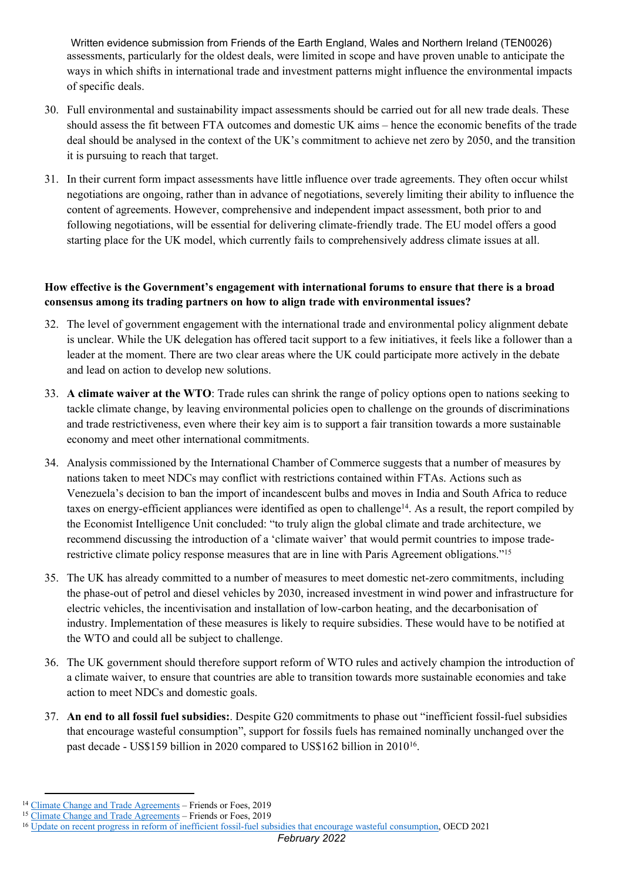Written evidence submission from Friends of the Earth England, Wales and Northern Ireland (TEN0026) assessments, particularly for the oldest deals, were limited in scope and have proven unable to anticipate the ways in which shifts in international trade and investment patterns might influence the environmental impacts of specific deals.

- 30. Full environmental and sustainability impact assessments should be carried out for all new trade deals. These should assess the fit between FTA outcomes and domestic UK aims – hence the economic benefits of the trade deal should be analysed in the context of the UK's commitment to achieve net zero by 2050, and the transition it is pursuing to reach that target.
- 31. In their current form impact assessments have little influence over trade agreements. They often occur whilst negotiations are ongoing, rather than in advance of negotiations, severely limiting their ability to influence the content of agreements. However, comprehensive and independent impact assessment, both prior to and following negotiations, will be essential for delivering climate-friendly trade. The EU model offers a good starting place for the UK model, which currently fails to comprehensively address climate issues at all.

## **How effective is the Government's engagement with international forums to ensure that there is a broad consensus among its trading partners on how to align trade with environmental issues?**

- 32. The level of government engagement with the international trade and environmental policy alignment debate is unclear. While the UK delegation has offered tacit support to a few initiatives, it feels like a follower than a leader at the moment. There are two clear areas where the UK could participate more actively in the debate and lead on action to develop new solutions.
- 33. **A climate waiver at the WTO**: Trade rules can shrink the range of policy options open to nations seeking to tackle climate change, by leaving environmental policies open to challenge on the grounds of discriminations and trade restrictiveness, even where their key aim is to support a fair transition towards a more sustainable economy and meet other international commitments.
- 34. Analysis commissioned by the International Chamber of Commerce suggests that a number of measures by nations taken to meet NDCs may conflict with restrictions contained within FTAs. Actions such as Venezuela's decision to ban the import of incandescent bulbs and moves in India and South Africa to reduce taxes on energy-efficient appliances were identified as open to challenge<sup>14</sup>. As a result, the report compiled by the Economist Intelligence Unit concluded: "to truly align the global climate and trade architecture, we recommend discussing the introduction of a 'climate waiver' that would permit countries to impose traderestrictive climate policy response measures that are in line with Paris Agreement obligations."<sup>15</sup>
- 35. The UK has already committed to a number of measures to meet domestic net-zero commitments, including the phase-out of petrol and diesel vehicles by 2030, increased investment in wind power and infrastructure for electric vehicles, the incentivisation and installation of low-carbon heating, and the decarbonisation of industry. Implementation of these measures is likely to require subsidies. These would have to be notified at the WTO and could all be subject to challenge.
- 36. The UK government should therefore support reform of WTO rules and actively champion the introduction of a climate waiver, to ensure that countries are able to transition towards more sustainable economies and take action to meet NDCs and domestic goals.
- 37. **An end to all fossil fuel subsidies:**. Despite G20 commitments to phase out "inefficient fossil-fuel subsidies that encourage wasteful consumption", support for fossils fuels has remained nominally unchanged over the past decade - US\$159 billion in 2020 compared to US\$162 billion in 2010<sup>16</sup>.

<sup>&</sup>lt;sup>14</sup> [Climate](https://iccwbo.org/content/uploads/sites/3/2019/03/icc-report-trade-and-climate-change.pdf) [Change](https://iccwbo.org/content/uploads/sites/3/2019/03/icc-report-trade-and-climate-change.pdf) [and](https://iccwbo.org/content/uploads/sites/3/2019/03/icc-report-trade-and-climate-change.pdf) [Trade](https://iccwbo.org/content/uploads/sites/3/2019/03/icc-report-trade-and-climate-change.pdf) [Agreements](https://iccwbo.org/content/uploads/sites/3/2019/03/icc-report-trade-and-climate-change.pdf) - Friends or Foes, 2019

<sup>&</sup>lt;sup>15</sup> [Climate](https://iccwbo.org/content/uploads/sites/3/2019/03/icc-report-trade-and-climate-change.pdf) [Change](https://iccwbo.org/content/uploads/sites/3/2019/03/icc-report-trade-and-climate-change.pdf) [and](https://iccwbo.org/content/uploads/sites/3/2019/03/icc-report-trade-and-climate-change.pdf) [Trade](https://iccwbo.org/content/uploads/sites/3/2019/03/icc-report-trade-and-climate-change.pdf) [Agreements](https://iccwbo.org/content/uploads/sites/3/2019/03/icc-report-trade-and-climate-change.pdf) – Friends or Foes, 2019

<sup>&</sup>lt;sup>16</sup> [Update](https://www.oecd.org/g20/topics/climate-sustainability-and-energy/OECD-IEA-G20-Fossil-Fuel-Subsidies-Reform-Update-2021.pdf) [on](https://www.oecd.org/g20/topics/climate-sustainability-and-energy/OECD-IEA-G20-Fossil-Fuel-Subsidies-Reform-Update-2021.pdf) [recent](https://www.oecd.org/g20/topics/climate-sustainability-and-energy/OECD-IEA-G20-Fossil-Fuel-Subsidies-Reform-Update-2021.pdf) [progress](https://www.oecd.org/g20/topics/climate-sustainability-and-energy/OECD-IEA-G20-Fossil-Fuel-Subsidies-Reform-Update-2021.pdf) [in](https://www.oecd.org/g20/topics/climate-sustainability-and-energy/OECD-IEA-G20-Fossil-Fuel-Subsidies-Reform-Update-2021.pdf) [reform](https://www.oecd.org/g20/topics/climate-sustainability-and-energy/OECD-IEA-G20-Fossil-Fuel-Subsidies-Reform-Update-2021.pdf) [of](https://www.oecd.org/g20/topics/climate-sustainability-and-energy/OECD-IEA-G20-Fossil-Fuel-Subsidies-Reform-Update-2021.pdf) [inefficient](https://www.oecd.org/g20/topics/climate-sustainability-and-energy/OECD-IEA-G20-Fossil-Fuel-Subsidies-Reform-Update-2021.pdf) [fossil-fuel](https://www.oecd.org/g20/topics/climate-sustainability-and-energy/OECD-IEA-G20-Fossil-Fuel-Subsidies-Reform-Update-2021.pdf) [subsidies](https://www.oecd.org/g20/topics/climate-sustainability-and-energy/OECD-IEA-G20-Fossil-Fuel-Subsidies-Reform-Update-2021.pdf) [that](https://www.oecd.org/g20/topics/climate-sustainability-and-energy/OECD-IEA-G20-Fossil-Fuel-Subsidies-Reform-Update-2021.pdf) [encourage](https://www.oecd.org/g20/topics/climate-sustainability-and-energy/OECD-IEA-G20-Fossil-Fuel-Subsidies-Reform-Update-2021.pdf) [wasteful](https://www.oecd.org/g20/topics/climate-sustainability-and-energy/OECD-IEA-G20-Fossil-Fuel-Subsidies-Reform-Update-2021.pdf) [consumption](https://www.oecd.org/g20/topics/climate-sustainability-and-energy/OECD-IEA-G20-Fossil-Fuel-Subsidies-Reform-Update-2021.pdf), OECD 2021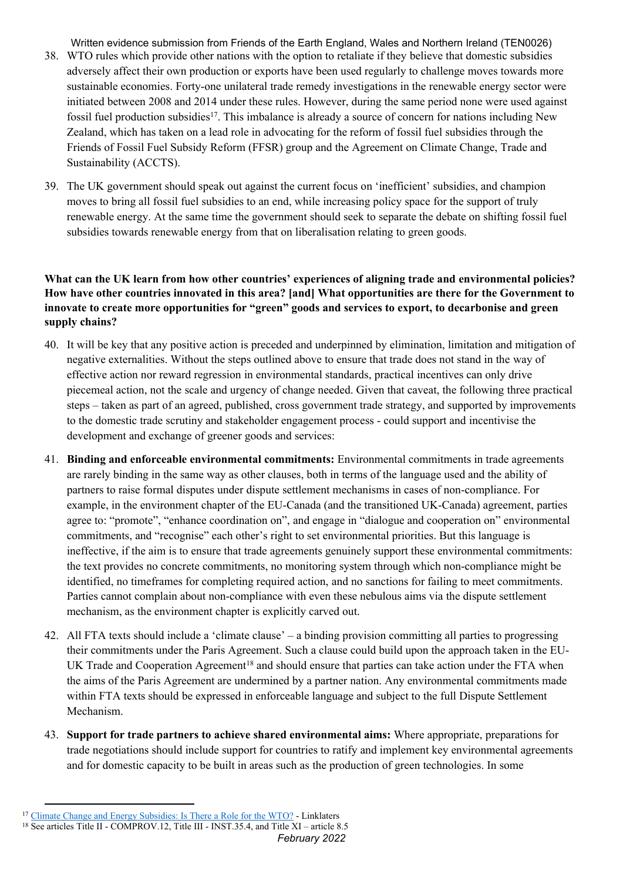Written evidence submission from Friends of the Earth England, Wales and Northern Ireland (TEN0026)

- 38. WTO rules which provide other nations with the option to retaliate if they believe that domestic subsidies adversely affect their own production or exports have been used regularly to challenge moves towards more sustainable economies. Forty-one unilateral trade remedy investigations in the renewable energy sector were initiated between 2008 and 2014 under these rules. However, during the same period none were used against fossil fuel production subsidies<sup>17</sup>. This imbalance is already a source of concern for nations including New Zealand, which has taken on a lead role in advocating for the reform of fossil fuel subsidies through the Friends of Fossil Fuel Subsidy Reform (FFSR) group and the Agreement on Climate Change, Trade and Sustainability (ACCTS).
- 39. The UK government should speak out against the current focus on 'inefficient' subsidies, and champion moves to bring all fossil fuel subsidies to an end, while increasing policy space for the support of truly renewable energy. At the same time the government should seek to separate the debate on shifting fossil fuel subsidies towards renewable energy from that on liberalisation relating to green goods.

## **What can the UK learn from how other countries' experiences of aligning trade and environmental policies? How have other countries innovated in this area? [and] What opportunities are there for the Government to innovate to create more opportunities for "green" goods and services to export, to decarbonise and green supply chains?**

- 40. It will be key that any positive action is preceded and underpinned by elimination, limitation and mitigation of negative externalities. Without the steps outlined above to ensure that trade does not stand in the way of effective action nor reward regression in environmental standards, practical incentives can only drive piecemeal action, not the scale and urgency of change needed. Given that caveat, the following three practical steps – taken as part of an agreed, published, cross government trade strategy, and supported by improvements to the domestic trade scrutiny and stakeholder engagement process - could support and incentivise the development and exchange of greener goods and services:
- 41. **Binding and enforceable environmental commitments:** Environmental commitments in trade agreements are rarely binding in the same way as other clauses, both in terms of the language used and the ability of partners to raise formal disputes under dispute settlement mechanisms in cases of non-compliance. For example, in the environment chapter of the EU-Canada (and the transitioned UK-Canada) agreement, parties agree to: "promote", "enhance coordination on", and engage in "dialogue and cooperation on" environmental commitments, and "recognise" each other's right to set environmental priorities. But this language is ineffective, if the aim is to ensure that trade agreements genuinely support these environmental commitments: the text provides no concrete commitments, no monitoring system through which non-compliance might be identified, no timeframes for completing required action, and no sanctions for failing to meet commitments. Parties cannot complain about non-compliance with even these nebulous aims via the dispute settlement mechanism, as the environment chapter is explicitly carved out.
- 42. All FTA texts should include a 'climate clause' a binding provision committing all parties to progressing their commitments under the Paris Agreement. Such a clause could build upon the approach taken in the EU-UK Trade and Cooperation Agreement<sup>18</sup> and should ensure that parties can take action under the FTA when the aims of the Paris Agreement are undermined by a partner nation. Any environmental commitments made within FTA texts should be expressed in enforceable language and subject to the full Dispute Settlement Mechanism.
- 43. **Support for trade partners to achieve shared environmental aims:** Where appropriate, preparations for trade negotiations should include support for countries to ratify and implement key environmental agreements and for domestic capacity to be built in areas such as the production of green technologies. In some

<sup>&</sup>lt;sup>17</sup> [Climate](https://www.linklaters.com/en/insights/blogs/tradelinks/climate-change-and-energy-subsidies-is-there-a-role-for-the-wto) [Change](https://www.linklaters.com/en/insights/blogs/tradelinks/climate-change-and-energy-subsidies-is-there-a-role-for-the-wto) [and](https://www.linklaters.com/en/insights/blogs/tradelinks/climate-change-and-energy-subsidies-is-there-a-role-for-the-wto) [Energy](https://www.linklaters.com/en/insights/blogs/tradelinks/climate-change-and-energy-subsidies-is-there-a-role-for-the-wto) [Subsidies:](https://www.linklaters.com/en/insights/blogs/tradelinks/climate-change-and-energy-subsidies-is-there-a-role-for-the-wto) [Is](https://www.linklaters.com/en/insights/blogs/tradelinks/climate-change-and-energy-subsidies-is-there-a-role-for-the-wto) [There](https://www.linklaters.com/en/insights/blogs/tradelinks/climate-change-and-energy-subsidies-is-there-a-role-for-the-wto) [a](https://www.linklaters.com/en/insights/blogs/tradelinks/climate-change-and-energy-subsidies-is-there-a-role-for-the-wto) [Role](https://www.linklaters.com/en/insights/blogs/tradelinks/climate-change-and-energy-subsidies-is-there-a-role-for-the-wto) [for](https://www.linklaters.com/en/insights/blogs/tradelinks/climate-change-and-energy-subsidies-is-there-a-role-for-the-wto) [the](https://www.linklaters.com/en/insights/blogs/tradelinks/climate-change-and-energy-subsidies-is-there-a-role-for-the-wto) [WTO?](https://www.linklaters.com/en/insights/blogs/tradelinks/climate-change-and-energy-subsidies-is-there-a-role-for-the-wto) - Linklaters

<sup>&</sup>lt;sup>18</sup> See articles Title II - COMPROV.12, Title III - INST.35.4, and Title XI – article 8.5

*February 2022*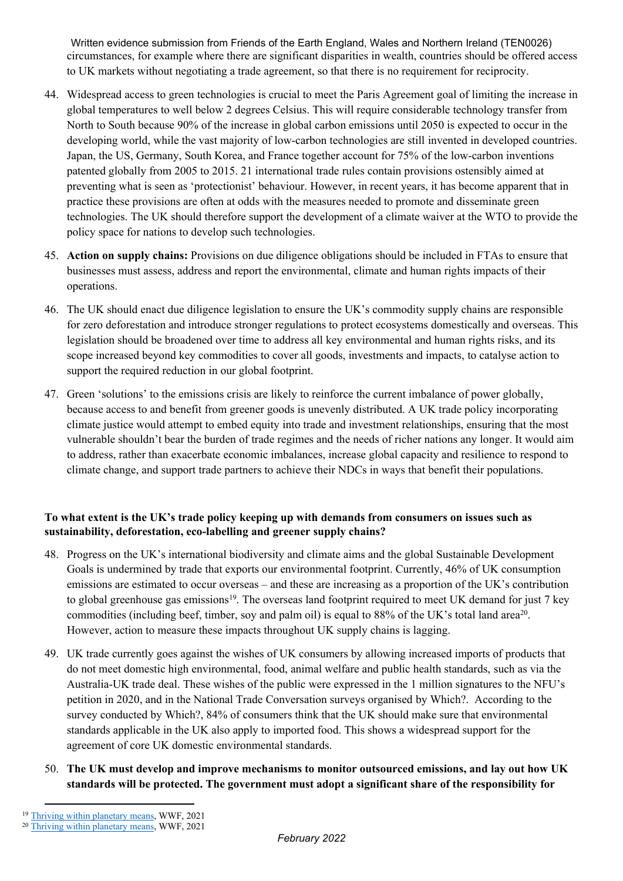Written evidence submission from Friends of the Earth England, Wales and Northern Ireland (TEN0026) circumstances, for example where there are significant disparities in wealth, countries should be offered access to UK markets without negotiating a trade agreement, so that there is no requirement for reciprocity.

- 44. Widespread access to green technologies is crucial to meet the Paris Agreement goal of limiting the increase in global temperatures to well below 2 degrees Celsius. This will require considerable technology transfer from North to South because 90% of the increase in global carbon emissions until 2050 is expected to occur in the developing world, while the vast majority of low-carbon technologies are still invented in developed countries. Japan, the US, Germany, South Korea, and France together account for 75% of the low-carbon inventions patented globally from 2005 to 2015. 21 international trade rules contain provisions ostensibly aimed at preventing what is seen as 'protectionist' behaviour. However, in recent years, it has become apparent that in practice these provisions are often at odds with the measures needed to promote and disseminate green technologies. The UK should therefore support the development of a climate waiver at the WTO to provide the policy space for nations to develop such technologies.
- 45. **Action on supply chains:** Provisions on due diligence obligations should be included in FTAs to ensure that businesses must assess, address and report the environmental, climate and human rights impacts of their operations.
- 46. The UK should enact due diligence legislation to ensure the UK's commodity supply chains are responsible for zero deforestation and introduce stronger regulations to protect ecosystems domestically and overseas. This legislation should be broadened over time to address all key environmental and human rights risks, and its scope increased beyond key commodities to cover all goods, investments and impacts, to catalyse action to support the required reduction in our global footprint.
- 47. Green 'solutions' to the emissions crisis are likely to reinforce the current imbalance of power globally, because access to and benefit from greener goods is unevenly distributed. A UK trade policy incorporating climate justice would attempt to embed equity into trade and investment relationships, ensuring that the most vulnerable shouldn't bear the burden of trade regimes and the needs of richer nations any longer. It would aim to address, rather than exacerbate economic imbalances, increase global capacity and resilience to respond to climate change, and support trade partners to achieve their NDCs in ways that benefit their populations.

# **To what extent is the UK's trade policy keeping up with demands from consumers on issues such as sustainability, deforestation, eco-labelling and greener supply chains?**

- 48. Progress on the UK's international biodiversity and climate aims and the global Sustainable Development Goals is undermined by trade that exports our environmental footprint. Currently, 46% of UK consumption emissions are estimated to occur overseas – and these are increasing as a proportion of the UK's contribution to global greenhouse gas emissions<sup>19</sup>. The overseas land footprint required to meet UK demand for just 7 key commodities (including beef, timber, soy and palm oil) is equal to 88% of the UK's total land area<sup>20</sup>. However, action to measure these impacts throughout UK supply chains is lagging.
- 49. UK trade currently goes against the wishes of UK consumers by allowing increased imports of products that do not meet domestic high environmental, food, animal welfare and public health standards, such as via the Australia-UK trade deal. These wishes of the public were expressed in the 1 million signatures to the NFU's petition in 2020, and in the National Trade Conversation surveys organised by Which?. According to the survey conducted by Which?, 84% of consumers think that the UK should make sure that environmental standards applicable in the UK also apply to imported food. This shows a widespread support for the agreement of core UK domestic environmental standards.
- 50. **The UK must develop and improve mechanisms to monitor outsourced emissions, and lay out how UK standards will be protected. The government must adopt a significant share of the responsibility for**

<sup>19</sup> [Thriving](https://www.wwf.org.uk/sites/default/files/2021-07/Summary_thriving_within_%20our_planetary_%20means_FINAL.pdf) [within](https://www.wwf.org.uk/sites/default/files/2021-07/Summary_thriving_within_%20our_planetary_%20means_FINAL.pdf) [planetary](https://www.wwf.org.uk/sites/default/files/2021-07/Summary_thriving_within_%20our_planetary_%20means_FINAL.pdf) [means](https://www.wwf.org.uk/sites/default/files/2021-07/Summary_thriving_within_%20our_planetary_%20means_FINAL.pdf), WWF, 2021

<sup>&</sup>lt;sup>20</sup> [Thriving](https://www.wwf.org.uk/sites/default/files/2021-07/Summary_thriving_within_%20our_planetary_%20means_FINAL.pdf) [within](https://www.wwf.org.uk/sites/default/files/2021-07/Summary_thriving_within_%20our_planetary_%20means_FINAL.pdf) [planetary](https://www.wwf.org.uk/sites/default/files/2021-07/Summary_thriving_within_%20our_planetary_%20means_FINAL.pdf) [means](https://www.wwf.org.uk/sites/default/files/2021-07/Summary_thriving_within_%20our_planetary_%20means_FINAL.pdf), WWF, 2021